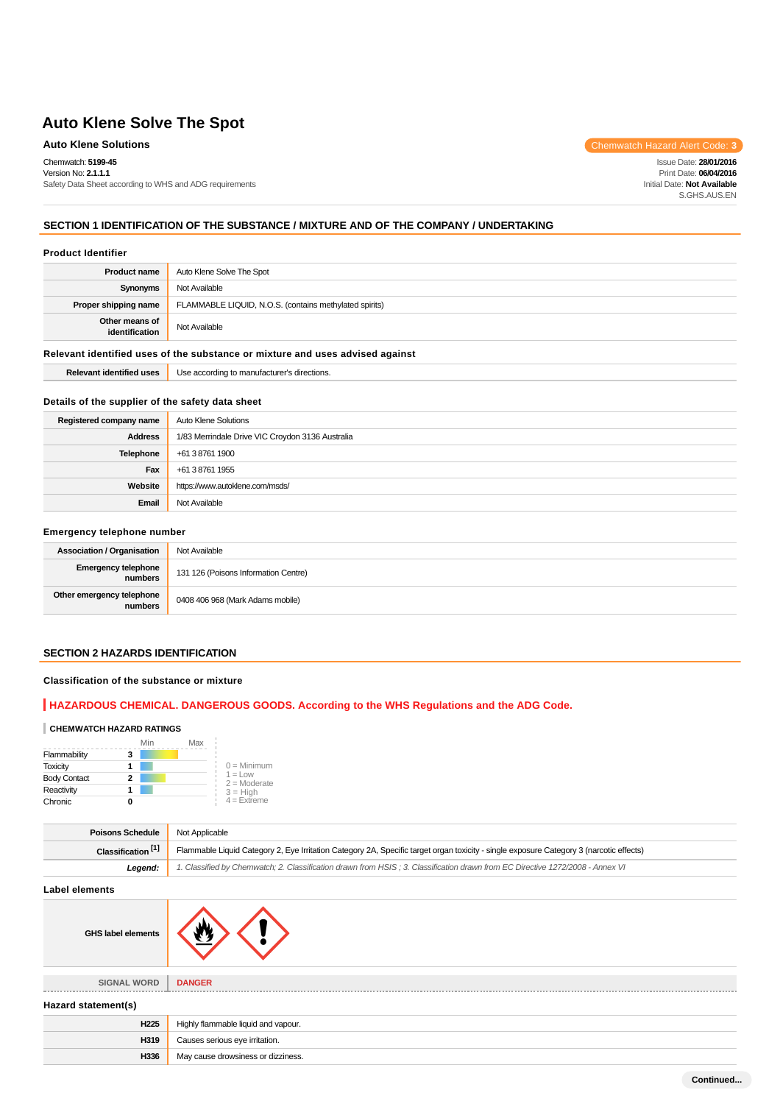Chemwatch: **5199-45** Version No: **2.1.1.1**

Safety Data Sheet according to WHS and ADG requirements

Auto Klene Solutions **Chemwatch Hazard Alert Code:** 3

Issue Date: **28/01/2016** Print Date: **06/04/2016** Initial Date: **Not Available** S.GHS.AUS.EN

# **SECTION 1 IDENTIFICATION OF THE SUBSTANCE / MIXTURE AND OF THE COMPANY / UNDERTAKING**

#### **Product Identifier**

| <b>Product name</b>                                                           | Auto Klene Solve The Spot                              |  |
|-------------------------------------------------------------------------------|--------------------------------------------------------|--|
| Synonyms                                                                      | Not Available                                          |  |
| Proper shipping name                                                          | FLAMMABLE LIQUID, N.O.S. (contains methylated spirits) |  |
| Other means of<br>identification                                              | Not Available                                          |  |
| Relevant identified uses of the substance or mixture and uses advised against |                                                        |  |

| ----<br>. .<br>uses<br>entitiec | 194<br>"tions.<br>יזו וחבי<br>. |
|---------------------------------|---------------------------------|

# **Details of the supplier of the safety data sheet**

| Registered company name | Auto Klene Solutions                             |  |
|-------------------------|--------------------------------------------------|--|
| <b>Address</b>          | 1/83 Merrindale Drive VIC Croydon 3136 Australia |  |
| Telephone               | +61 3 8761 1900                                  |  |
| Fax                     | +61 3 8761 1955                                  |  |
| Website                 | https://www.autoklene.com/msds/                  |  |
| Email                   | Not Available                                    |  |

#### **Emergency telephone number**

| <b>Association / Organisation</b>    | Not Available                        |
|--------------------------------------|--------------------------------------|
| Emergency telephone<br>numbers       | 131 126 (Poisons Information Centre) |
| Other emergency telephone<br>numbers | 0408 406 968 (Mark Adams mobile)     |

# **SECTION 2 HAZARDS IDENTIFICATION**

#### **Classification of the substance or mixture**

# **HAZARDOUS CHEMICAL. DANGEROUS GOODS. According to the WHS Regulations and the ADG Code.**

#### **CHEMWATCH HAZARD RATINGS**

|                     | Min | Max |                              |
|---------------------|-----|-----|------------------------------|
| Flammability        | 3   |     |                              |
| <b>Toxicity</b>     |     |     | $0 =$ Minimum                |
| <b>Body Contact</b> | 2   |     | $1 = 1$ ow<br>$2 =$ Moderate |
| Reactivity          |     |     | $3 = High$                   |
| Chronic             |     |     | $4 =$ Extreme                |

| <b>Poisons Schedule</b>       | Not Applicable                                                                                                                          |  |
|-------------------------------|-----------------------------------------------------------------------------------------------------------------------------------------|--|
| Classification <sup>[1]</sup> | Flammable Liquid Category 2, Eye Irritation Category 2A, Specific target organ toxicity - single exposure Category 3 (narcotic effects) |  |
| Legend:                       | 1. Classified by Chemwatch; 2. Classification drawn from HSIS; 3. Classification drawn from EC Directive 1272/2008 - Annex VI           |  |

**Label elements**

| nents |  |
|-------|--|
|       |  |

**SIGNAL WORD DANGER**

**GHS label elements**

# **Hazard statement(s)**

| H225 | Highly flammable liquid and vapour. |
|------|-------------------------------------|
| H319 | Causes serious eye irritation.      |
| H336 | May cause drowsiness or dizziness.  |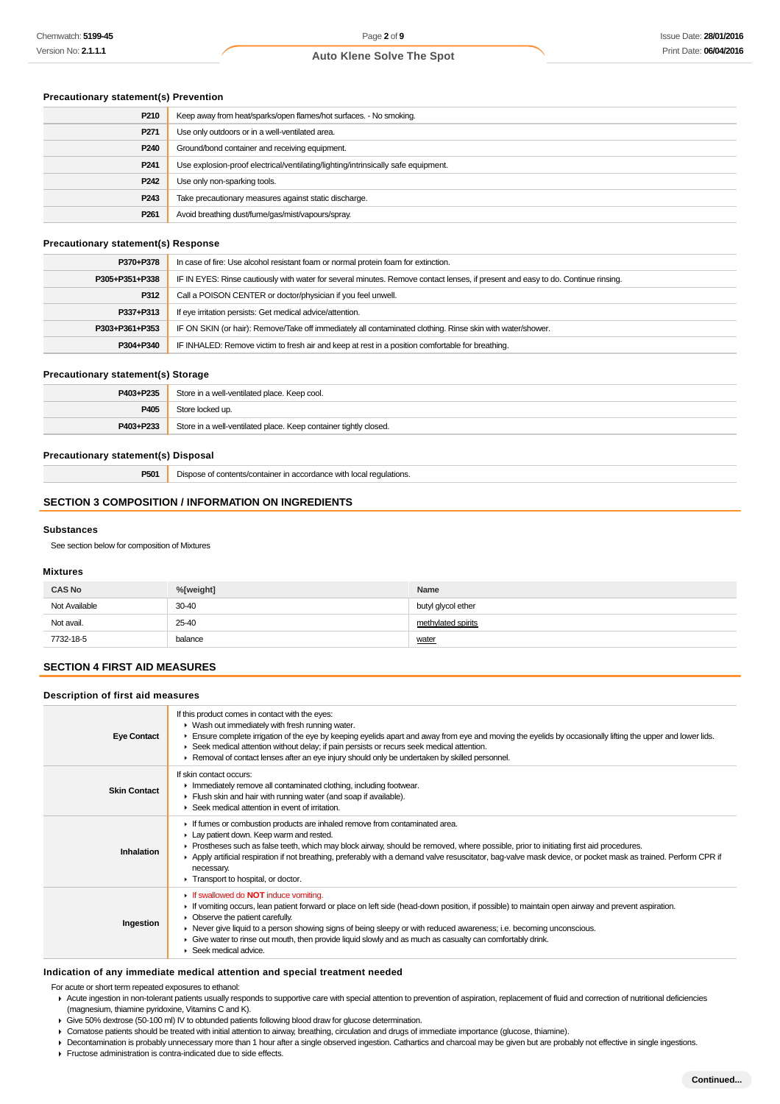# **Precautionary statement(s) Prevention**

| P210             | Keep away from heat/sparks/open flames/hot surfaces. - No smoking.                |  |
|------------------|-----------------------------------------------------------------------------------|--|
| P271             | Use only outdoors or in a well-ventilated area.                                   |  |
| P <sub>240</sub> | Ground/bond container and receiving equipment.                                    |  |
| P <sub>241</sub> | Use explosion-proof electrical/ventilating/lighting/intrinsically safe equipment. |  |
| P242             | Use only non-sparking tools.                                                      |  |
| P243             | Take precautionary measures against static discharge.                             |  |
| P <sub>261</sub> | Avoid breathing dust/fume/gas/mist/vapours/spray.                                 |  |

# **Precautionary statement(s) Response**

| P370+P378      | In case of fire: Use alcohol resistant foam or normal protein foam for extinction.                                               |  |
|----------------|----------------------------------------------------------------------------------------------------------------------------------|--|
| P305+P351+P338 | IF IN EYES: Rinse cautiously with water for several minutes. Remove contact lenses, if present and easy to do. Continue rinsing. |  |
| P312           | Call a POISON CENTER or doctor/physician if you feel unwell.                                                                     |  |
| P337+P313      | If eye irritation persists: Get medical advice/attention.                                                                        |  |
| P303+P361+P353 | IF ON SKIN (or hair): Remove/Take off immediately all contaminated clothing. Rinse skin with water/shower.                       |  |
| P304+P340      | IF INHALED: Remove victim to fresh air and keep at rest in a position comfortable for breathing.                                 |  |

#### **Precautionary statement(s) Storage**

| P403+P235 | Store in a well-ventilated place. Keep cool.                     |  |
|-----------|------------------------------------------------------------------|--|
| P405      | Store locked up.                                                 |  |
| P403+P233 | Store in a well-ventilated place. Keep container tightly closed. |  |

#### **Precautionary statement(s) Disposal**

**P501** Dispose of contents/container in accordance with local regulations.

# **SECTION 3 COMPOSITION / INFORMATION ON INGREDIENTS**

#### **Substances**

See section below for composition of Mixtures

# **Mixtures**

| <b>CAS No</b> | %[weight] | Name               |
|---------------|-----------|--------------------|
| Not Available | $30 - 40$ | butyl glycol ether |
| Not avail.    | 25-40     | methylated spirits |
| 7732-18-5     | balance   | water              |

# **SECTION 4 FIRST AID MEASURES**

#### **Description of first aid measures**

| <b>Eye Contact</b>  | If this product comes in contact with the eyes:<br>• Wash out immediately with fresh running water.<br>Ensure complete irrigation of the eye by keeping eyelids apart and away from eye and moving the eyelids by occasionally lifting the upper and lower lids.<br>► Seek medical attention without delay; if pain persists or recurs seek medical attention.<br>▶ Removal of contact lenses after an eye injury should only be undertaken by skilled personnel.                                                        |
|---------------------|--------------------------------------------------------------------------------------------------------------------------------------------------------------------------------------------------------------------------------------------------------------------------------------------------------------------------------------------------------------------------------------------------------------------------------------------------------------------------------------------------------------------------|
| <b>Skin Contact</b> | If skin contact occurs:<br>Inmediately remove all contaminated clothing, including footwear.<br>Flush skin and hair with running water (and soap if available).<br>Seek medical attention in event of irritation.                                                                                                                                                                                                                                                                                                        |
| Inhalation          | If fumes or combustion products are inhaled remove from contaminated area.<br>Lay patient down. Keep warm and rested.<br>► Prostheses such as false teeth, which may block airway, should be removed, where possible, prior to initiating first aid procedures.<br>Apply artificial respiration if not breathing, preferably with a demand valve resuscitator, bag-valve mask device, or pocket mask as trained. Perform CPR if<br>necessary.<br>Transport to hospital, or doctor.                                       |
| Ingestion           | If swallowed do <b>NOT</b> induce vomiting.<br>► If vomiting occurs, lean patient forward or place on left side (head-down position, if possible) to maintain open airway and prevent aspiration.<br>• Observe the patient carefully.<br>► Never give liquid to a person showing signs of being sleepy or with reduced awareness; i.e. becoming unconscious.<br>• Give water to rinse out mouth, then provide liquid slowly and as much as casualty can comfortably drink.<br>$\blacktriangleright$ Seek medical advice. |

#### **Indication of any immediate medical attention and special treatment needed**

For acute or short term repeated exposures to ethanol:

- Acute ingestion in non-tolerant patients usually responds to supportive care with special attention to prevention of aspiration, replacement of fluid and correction of nutritional deficiencies (magnesium, thiamine pyridoxine, Vitamins C and K).
- Give 50% dextrose (50-100 ml) IV to obtunded patients following blood draw for glucose determination.
- Comatose patients should be treated with initial attention to airway, breathing, circulation and drugs of immediate importance (glucose, thiamine).
- Decontamination is probably unnecessary more than 1 hour after a single observed ingestion. Cathartics and charcoal may be given but are probably not effective in single ingestions.
- Fructose administration is contra-indicated due to side effects.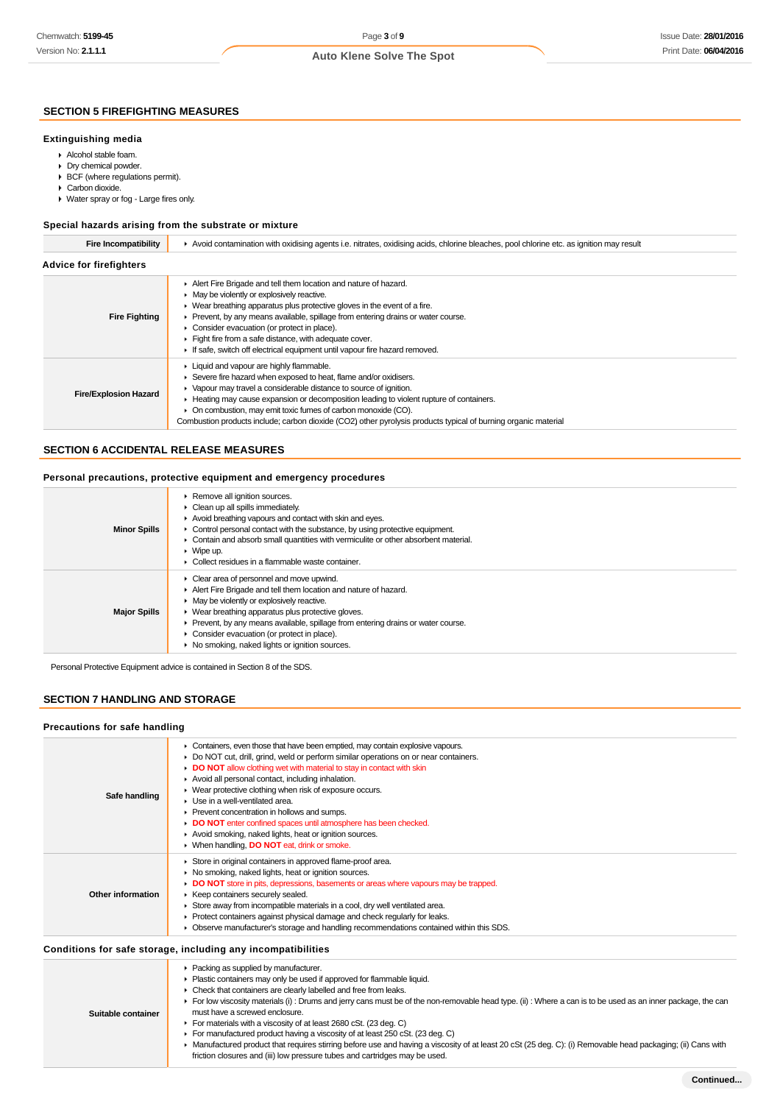# **SECTION 5 FIREFIGHTING MEASURES**

#### **Extinguishing media**

- Alcohol stable foam.
- Dry chemical powder.
- ▶ BCF (where regulations permit).
- Carbon dioxide.
- Water spray or fog Large fires only.

# **Special hazards arising from the substrate or mixture**

| <b>Fire Incompatibility</b>    | Avoid contamination with oxidising agents i.e. nitrates, oxidising acids, chlorine bleaches, pool chlorine etc. as ignition may result                                                                                                                                                                                                                                                                                                                                                                          |  |  |  |  |
|--------------------------------|-----------------------------------------------------------------------------------------------------------------------------------------------------------------------------------------------------------------------------------------------------------------------------------------------------------------------------------------------------------------------------------------------------------------------------------------------------------------------------------------------------------------|--|--|--|--|
| <b>Advice for firefighters</b> |                                                                                                                                                                                                                                                                                                                                                                                                                                                                                                                 |  |  |  |  |
| <b>Fire Fighting</b>           | Alert Fire Brigade and tell them location and nature of hazard.<br>$\blacktriangleright$ May be violently or explosively reactive.<br>$\blacktriangleright$ Wear breathing apparatus plus protective gloves in the event of a fire.<br>► Prevent, by any means available, spillage from entering drains or water course.<br>• Consider evacuation (or protect in place).<br>Fight fire from a safe distance, with adequate cover.<br>If safe, switch off electrical equipment until vapour fire hazard removed. |  |  |  |  |
| <b>Fire/Explosion Hazard</b>   | Liquid and vapour are highly flammable.<br>Severe fire hazard when exposed to heat, flame and/or oxidisers.<br>• Vapour may travel a considerable distance to source of ignition.<br>► Heating may cause expansion or decomposition leading to violent rupture of containers.<br>• On combustion, may emit toxic fumes of carbon monoxide (CO).<br>Combustion products include; carbon dioxide (CO2) other pyrolysis products typical of burning organic material                                               |  |  |  |  |

#### **SECTION 6 ACCIDENTAL RELEASE MEASURES**

#### **Personal precautions, protective equipment and emergency procedures**

| <b>Minor Spills</b> | Remove all ignition sources.<br>$\triangleright$ Clean up all spills immediately.<br>Avoid breathing vapours and contact with skin and eyes.<br>$\triangleright$ Control personal contact with the substance, by using protective equipment.<br>• Contain and absorb small quantities with vermiculite or other absorbent material.<br>$\triangleright$ Wipe up.<br>$\blacktriangleright$ Collect residues in a flammable waste container. |
|---------------------|--------------------------------------------------------------------------------------------------------------------------------------------------------------------------------------------------------------------------------------------------------------------------------------------------------------------------------------------------------------------------------------------------------------------------------------------|
| <b>Major Spills</b> | $\triangleright$ Clear area of personnel and move upwind.<br>Alert Fire Brigade and tell them location and nature of hazard.<br>• May be violently or explosively reactive.<br>• Wear breathing apparatus plus protective gloves.<br>Prevent, by any means available, spillage from entering drains or water course.<br>Consider evacuation (or protect in place).<br>▶ No smoking, naked lights or ignition sources.                      |

Personal Protective Equipment advice is contained in Section 8 of the SDS.

# **SECTION 7 HANDLING AND STORAGE**

#### **Precautions for safe handling**

| Safe handling      | • Containers, even those that have been emptied, may contain explosive vapours.<br>Do NOT cut, drill, grind, weld or perform similar operations on or near containers.<br>DO NOT allow clothing wet with material to stay in contact with skin<br>Avoid all personal contact, including inhalation.<br>• Wear protective clothing when risk of exposure occurs.<br>$\blacktriangleright$ Use in a well-ventilated area.<br>▶ Prevent concentration in hollows and sumps.<br>DO NOT enter confined spaces until atmosphere has been checked.<br>Avoid smoking, naked lights, heat or ignition sources.<br>▶ When handling, DO NOT eat, drink or smoke. |
|--------------------|-------------------------------------------------------------------------------------------------------------------------------------------------------------------------------------------------------------------------------------------------------------------------------------------------------------------------------------------------------------------------------------------------------------------------------------------------------------------------------------------------------------------------------------------------------------------------------------------------------------------------------------------------------|
| Other information  | Store in original containers in approved flame-proof area.<br>• No smoking, naked lights, heat or ignition sources.<br>DO NOT store in pits, depressions, basements or areas where vapours may be trapped.<br>▶ Keep containers securely sealed.<br>Store away from incompatible materials in a cool, dry well ventilated area.<br>▶ Protect containers against physical damage and check regularly for leaks.<br>• Observe manufacturer's storage and handling recommendations contained within this SDS.                                                                                                                                            |
|                    | Conditions for safe storage, including any incompatibilities                                                                                                                                                                                                                                                                                                                                                                                                                                                                                                                                                                                          |
| Suitable container | • Packing as supplied by manufacturer.<br>Plastic containers may only be used if approved for flammable liquid.<br>• Check that containers are clearly labelled and free from leaks.<br>For low viscosity materials (i) : Drums and jerry cans must be of the non-removable head type. (ii) : Where a can is to be used as an inner package, the can<br>must have a screwed enclosure.<br>For materials with a viscosity of at least 2680 cSt. (23 deg. C)                                                                                                                                                                                            |

- For manufactured product having a viscosity of at least 250 cSt. (23 deg. C)
- 
- ▶ Manufactured product that requires stirring before use and having a viscosity of at least 20 cSt (25 deg. C): (i) Removable head packaging; (ii) Cans with friction closures and (iii) low pressure tubes and cartridges may be used.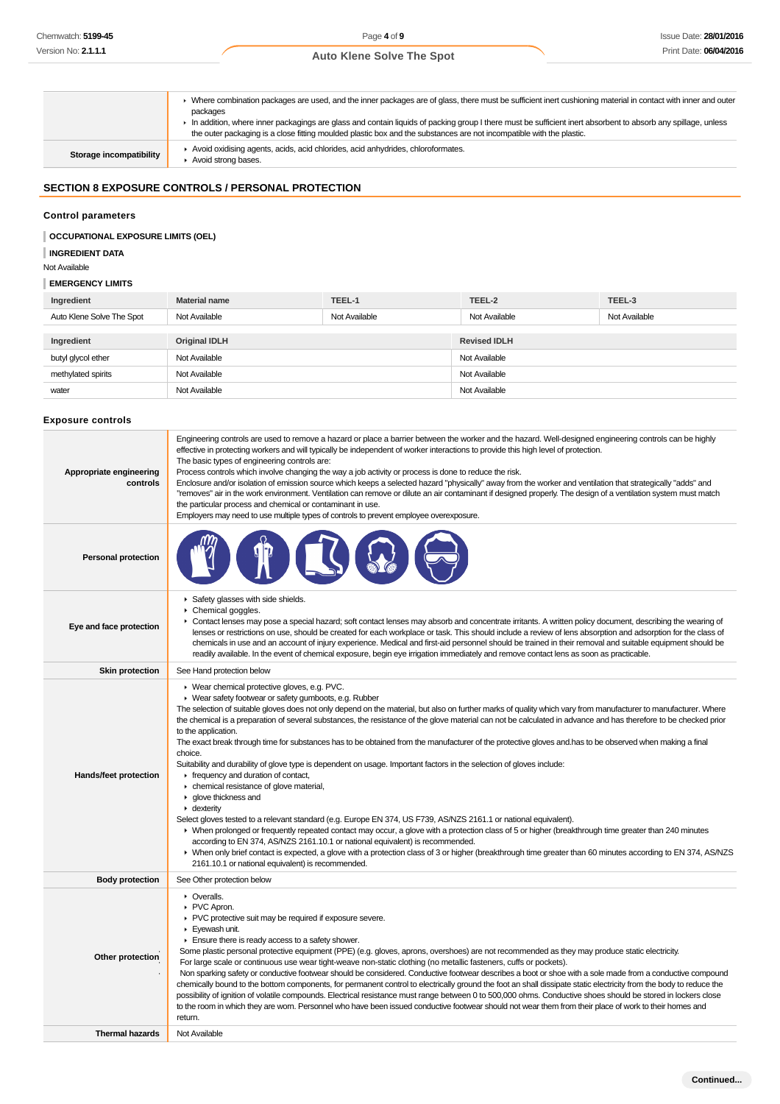|                         | • Where combination packages are used, and the inner packages are of glass, there must be sufficient inert cushioning material in contact with inner and outer<br>packages<br>In addition, where inner packagings are glass and contain liquids of packing group I there must be sufficient inert absorbent to absorb any spillage, unless<br>the outer packaging is a close fitting moulded plastic box and the substances are not incompatible with the plastic. |
|-------------------------|--------------------------------------------------------------------------------------------------------------------------------------------------------------------------------------------------------------------------------------------------------------------------------------------------------------------------------------------------------------------------------------------------------------------------------------------------------------------|
| Storage incompatibility | Avoid oxidising agents, acids, acid chlorides, acid anhydrides, chloroformates.<br>Avoid strong bases.                                                                                                                                                                                                                                                                                                                                                             |

# **SECTION 8 EXPOSURE CONTROLS / PERSONAL PROTECTION**

#### **Control parameters**

# **OCCUPATIONAL EXPOSURE LIMITS (OEL)**

**INGREDIENT DATA**

Not Available

#### **EMERGENCY LIMITS**

| Ingredient                | <b>Material name</b> | TEEL-1        | TEEL-2              | TEEL-3        |
|---------------------------|----------------------|---------------|---------------------|---------------|
| Auto Klene Solve The Spot | Not Available        | Not Available | Not Available       | Not Available |
|                           |                      |               |                     |               |
| Ingredient                | <b>Original IDLH</b> |               | <b>Revised IDLH</b> |               |
| butyl glycol ether        | Not Available        |               | Not Available       |               |
| methylated spirits        | Not Available        |               | Not Available       |               |
| water                     | Not Available        |               | Not Available       |               |

# **Exposure controls**

| <b>Personal protection</b><br>Safety glasses with side shields.<br>Chemical goggles.<br>► Contact lenses may pose a special hazard; soft contact lenses may absorb and concentrate irritants. A written policy document, describing the wearing of<br>Eye and face protection<br>lenses or restrictions on use, should be created for each workplace or task. This should include a review of lens absorption and adsorption for the class of<br>chemicals in use and an account of injury experience. Medical and first-aid personnel should be trained in their removal and suitable equipment should be<br>readily available. In the event of chemical exposure, begin eye irrigation immediately and remove contact lens as soon as practicable.<br><b>Skin protection</b><br>See Hand protection below<br>▶ Wear chemical protective gloves, e.g. PVC.<br>• Wear safety footwear or safety gumboots, e.g. Rubber<br>The selection of suitable gloves does not only depend on the material, but also on further marks of quality which vary from manufacturer to manufacturer. Where<br>the chemical is a preparation of several substances, the resistance of the glove material can not be calculated in advance and has therefore to be checked prior<br>to the application.<br>The exact break through time for substances has to be obtained from the manufacturer of the protective gloves and has to be observed when making a final<br>choice.<br>Suitability and durability of glove type is dependent on usage. Important factors in the selection of gloves include:<br>Hands/feet protection<br>Firequency and duration of contact,<br>• chemical resistance of glove material,<br>▶ glove thickness and<br>$\blacktriangleright$ dexterity<br>Select gloves tested to a relevant standard (e.g. Europe EN 374, US F739, AS/NZS 2161.1 or national equivalent).<br>▶ When prolonged or frequently repeated contact may occur, a glove with a protection class of 5 or higher (breakthrough time greater than 240 minutes<br>according to EN 374, AS/NZS 2161.10.1 or national equivalent) is recommended.<br>> When only brief contact is expected, a glove with a protection class of 3 or higher (breakthrough time greater than 60 minutes according to EN 374, AS/NZS<br>2161.10.1 or national equivalent) is recommended.<br><b>Body protection</b><br>See Other protection below<br>• Overalls.<br>PVC Apron.<br>PVC protective suit may be required if exposure severe.<br>Eyewash unit.<br>Ensure there is ready access to a safety shower.<br>Some plastic personal protective equipment (PPE) (e.g. gloves, aprons, overshoes) are not recommended as they may produce static electricity.<br>Other protection<br>For large scale or continuous use wear tight-weave non-static clothing (no metallic fasteners, cuffs or pockets).<br>Non sparking safety or conductive footwear should be considered. Conductive footwear describes a boot or shoe with a sole made from a conductive compound<br>chemically bound to the bottom components, for permanent control to electrically ground the foot an shall dissipate static electricity from the body to reduce the<br>possibility of ignition of volatile compounds. Electrical resistance must range between 0 to 500,000 ohms. Conductive shoes should be stored in lockers close<br>to the room in which they are worn. Personnel who have been issued conductive footwear should not wear them from their place of work to their homes and<br>return.<br><b>Thermal hazards</b><br>Not Available | Appropriate engineering<br>controls | Engineering controls are used to remove a hazard or place a barrier between the worker and the hazard. Well-designed engineering controls can be highly<br>effective in protecting workers and will typically be independent of worker interactions to provide this high level of protection.<br>The basic types of engineering controls are:<br>Process controls which involve changing the way a job activity or process is done to reduce the risk.<br>Enclosure and/or isolation of emission source which keeps a selected hazard "physically" away from the worker and ventilation that strategically "adds" and<br>"removes" air in the work environment. Ventilation can remove or dilute an air contaminant if designed properly. The design of a ventilation system must match<br>the particular process and chemical or contaminant in use.<br>Employers may need to use multiple types of controls to prevent employee overexposure. |  |  |  |
|------------------------------------------------------------------------------------------------------------------------------------------------------------------------------------------------------------------------------------------------------------------------------------------------------------------------------------------------------------------------------------------------------------------------------------------------------------------------------------------------------------------------------------------------------------------------------------------------------------------------------------------------------------------------------------------------------------------------------------------------------------------------------------------------------------------------------------------------------------------------------------------------------------------------------------------------------------------------------------------------------------------------------------------------------------------------------------------------------------------------------------------------------------------------------------------------------------------------------------------------------------------------------------------------------------------------------------------------------------------------------------------------------------------------------------------------------------------------------------------------------------------------------------------------------------------------------------------------------------------------------------------------------------------------------------------------------------------------------------------------------------------------------------------------------------------------------------------------------------------------------------------------------------------------------------------------------------------------------------------------------------------------------------------------------------------------------------------------------------------------------------------------------------------------------------------------------------------------------------------------------------------------------------------------------------------------------------------------------------------------------------------------------------------------------------------------------------------------------------------------------------------------------------------------------------------------------------------------------------------------------------------------------------------------------------------------------------------------------------------------------------------------------------------------------------------------------------------------------------------------------------------------------------------------------------------------------------------------------------------------------------------------------------------------------------------------------------------------------------------------------------------------------------------------------------------------------------------------------------------------------------------------------------------------------------------------------------------------------------------------------------------------------------------------------------------------------------------------------------------------------------------------------------------------------------------------------------|-------------------------------------|-------------------------------------------------------------------------------------------------------------------------------------------------------------------------------------------------------------------------------------------------------------------------------------------------------------------------------------------------------------------------------------------------------------------------------------------------------------------------------------------------------------------------------------------------------------------------------------------------------------------------------------------------------------------------------------------------------------------------------------------------------------------------------------------------------------------------------------------------------------------------------------------------------------------------------------------------|--|--|--|
|                                                                                                                                                                                                                                                                                                                                                                                                                                                                                                                                                                                                                                                                                                                                                                                                                                                                                                                                                                                                                                                                                                                                                                                                                                                                                                                                                                                                                                                                                                                                                                                                                                                                                                                                                                                                                                                                                                                                                                                                                                                                                                                                                                                                                                                                                                                                                                                                                                                                                                                                                                                                                                                                                                                                                                                                                                                                                                                                                                                                                                                                                                                                                                                                                                                                                                                                                                                                                                                                                                                                                                                    |                                     |                                                                                                                                                                                                                                                                                                                                                                                                                                                                                                                                                                                                                                                                                                                                                                                                                                                                                                                                                 |  |  |  |
|                                                                                                                                                                                                                                                                                                                                                                                                                                                                                                                                                                                                                                                                                                                                                                                                                                                                                                                                                                                                                                                                                                                                                                                                                                                                                                                                                                                                                                                                                                                                                                                                                                                                                                                                                                                                                                                                                                                                                                                                                                                                                                                                                                                                                                                                                                                                                                                                                                                                                                                                                                                                                                                                                                                                                                                                                                                                                                                                                                                                                                                                                                                                                                                                                                                                                                                                                                                                                                                                                                                                                                                    |                                     |                                                                                                                                                                                                                                                                                                                                                                                                                                                                                                                                                                                                                                                                                                                                                                                                                                                                                                                                                 |  |  |  |
|                                                                                                                                                                                                                                                                                                                                                                                                                                                                                                                                                                                                                                                                                                                                                                                                                                                                                                                                                                                                                                                                                                                                                                                                                                                                                                                                                                                                                                                                                                                                                                                                                                                                                                                                                                                                                                                                                                                                                                                                                                                                                                                                                                                                                                                                                                                                                                                                                                                                                                                                                                                                                                                                                                                                                                                                                                                                                                                                                                                                                                                                                                                                                                                                                                                                                                                                                                                                                                                                                                                                                                                    |                                     |                                                                                                                                                                                                                                                                                                                                                                                                                                                                                                                                                                                                                                                                                                                                                                                                                                                                                                                                                 |  |  |  |
|                                                                                                                                                                                                                                                                                                                                                                                                                                                                                                                                                                                                                                                                                                                                                                                                                                                                                                                                                                                                                                                                                                                                                                                                                                                                                                                                                                                                                                                                                                                                                                                                                                                                                                                                                                                                                                                                                                                                                                                                                                                                                                                                                                                                                                                                                                                                                                                                                                                                                                                                                                                                                                                                                                                                                                                                                                                                                                                                                                                                                                                                                                                                                                                                                                                                                                                                                                                                                                                                                                                                                                                    |                                     |                                                                                                                                                                                                                                                                                                                                                                                                                                                                                                                                                                                                                                                                                                                                                                                                                                                                                                                                                 |  |  |  |
|                                                                                                                                                                                                                                                                                                                                                                                                                                                                                                                                                                                                                                                                                                                                                                                                                                                                                                                                                                                                                                                                                                                                                                                                                                                                                                                                                                                                                                                                                                                                                                                                                                                                                                                                                                                                                                                                                                                                                                                                                                                                                                                                                                                                                                                                                                                                                                                                                                                                                                                                                                                                                                                                                                                                                                                                                                                                                                                                                                                                                                                                                                                                                                                                                                                                                                                                                                                                                                                                                                                                                                                    |                                     |                                                                                                                                                                                                                                                                                                                                                                                                                                                                                                                                                                                                                                                                                                                                                                                                                                                                                                                                                 |  |  |  |
|                                                                                                                                                                                                                                                                                                                                                                                                                                                                                                                                                                                                                                                                                                                                                                                                                                                                                                                                                                                                                                                                                                                                                                                                                                                                                                                                                                                                                                                                                                                                                                                                                                                                                                                                                                                                                                                                                                                                                                                                                                                                                                                                                                                                                                                                                                                                                                                                                                                                                                                                                                                                                                                                                                                                                                                                                                                                                                                                                                                                                                                                                                                                                                                                                                                                                                                                                                                                                                                                                                                                                                                    |                                     |                                                                                                                                                                                                                                                                                                                                                                                                                                                                                                                                                                                                                                                                                                                                                                                                                                                                                                                                                 |  |  |  |
|                                                                                                                                                                                                                                                                                                                                                                                                                                                                                                                                                                                                                                                                                                                                                                                                                                                                                                                                                                                                                                                                                                                                                                                                                                                                                                                                                                                                                                                                                                                                                                                                                                                                                                                                                                                                                                                                                                                                                                                                                                                                                                                                                                                                                                                                                                                                                                                                                                                                                                                                                                                                                                                                                                                                                                                                                                                                                                                                                                                                                                                                                                                                                                                                                                                                                                                                                                                                                                                                                                                                                                                    |                                     |                                                                                                                                                                                                                                                                                                                                                                                                                                                                                                                                                                                                                                                                                                                                                                                                                                                                                                                                                 |  |  |  |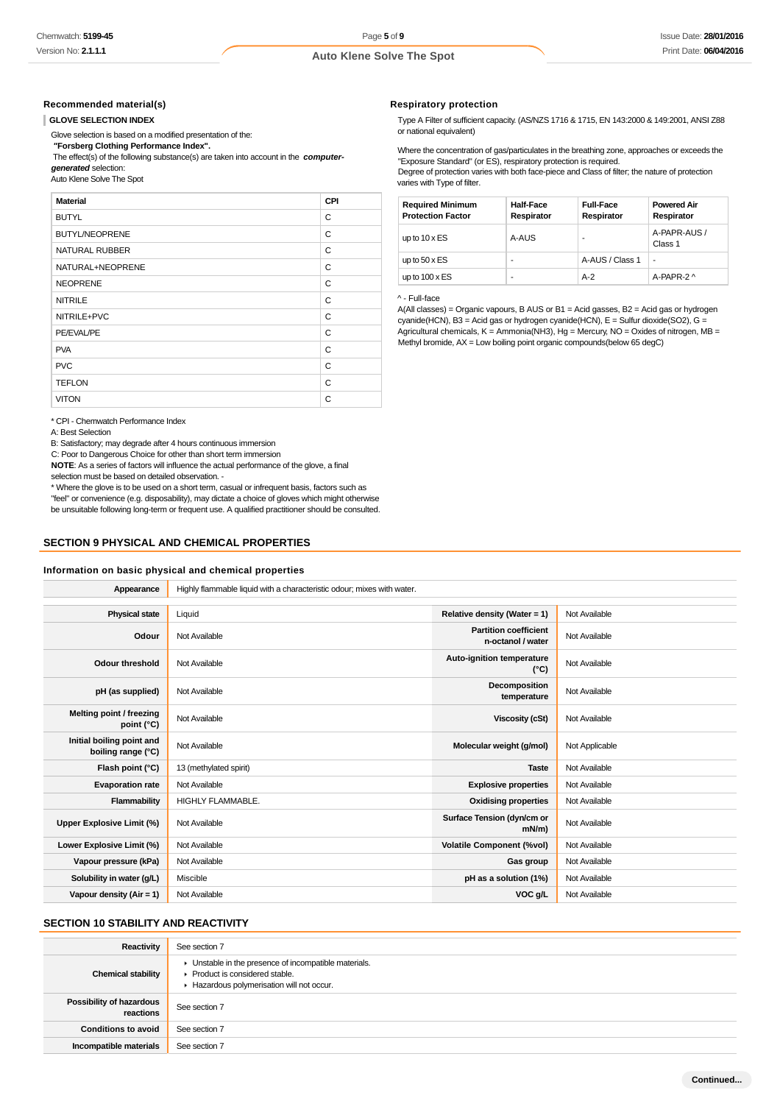#### **Recommended material(s)**

#### **GLOVE SELECTION INDEX**

Glove selection is based on a modified presentation of the:

 **"Forsberg Clothing Performance Index".**

 The effect(s) of the following substance(s) are taken into account in the **computergenerated** selection:

Auto Klene Solve The Spot

# **Material CPI** BUTYL CONTROL CONTROL CONTROL CONTROL CONTROL CONTROL CONTROL CONTROL CONTROL CONTROL CONTROL CONTROL CONTROL CONTROL CONTROL CONTROL CONTROL CONTROL CONTROL CONTROL CONTROL CONTROL CONTROL CONTROL CONTROL CONTROL CONTROL BUTYL/NEOPRENE C NATURAL RUBBER C NATURAL+NEOPRENE C NEOPRENE C NITRILE CONTROLLER CONTROLLER CONTROLLER CONTROLLER CONTROLLER CONTROLLER CONTROLLER CONTROLLER CONTROLLER CONTROLLER CONTROLLER CONTROLLER CONTROLLER CONTROLLER CONTROLLER CONTROLLER CONTROLLER CONTROLLER CONTROLLER CONTR NITRILE+PVC C PE/EVAL/PE CONTROL CONTROL CONTROL CONTROL CONTROL CONTROL CONTROL CONTROL CONTROL CONTROL CONTROL CONTROL CONTROL CONTROL CONTROL CONTROL CONTROL CONTROL CONTROL CONTROL CONTROL CONTROL CONTROL CONTROL CONTROL CONTROL CON PVA C PVC CONTROL CONTROL CONTROL CONTROL CONTROL CONTROL CONTROL CONTROL CONTROL CONTROL CONTROL CONTROL CONTROL CONTROL CONTROL CONTROL CONTROL CONTROL CONTROL CONTROL CONTROL CONTROL CONTROL CONTROL CONTROL CONTROL CONTROL CO TEFLON C VITON CONTROL CONTROL CONTROL CONTROL CONTROL CONTROL CONTROL CONTROL CONTROL CONTROL CONTROL CONTROL CONTROL CONTROL CONTROL CONTROL CONTROL CONTROL CONTROL CONTROL CONTROL CONTROL CONTROL CONTROL CONTROL CONTROL CONTROL

\* CPI - Chemwatch

A: Best Selection

B: Satisfactory; ma

C: Poor to Dangero

**NOTE:** As a series

selection must be b

\* Where the glove is to be used on a short term, casual or infrequent basis, factors such as

#### **SECTION 9 PHYSICAL AND CHEMICAL PROPERTIES**

#### **Information on basic physical and chemical properties**

| Performance Index                                                                                                    |  |
|----------------------------------------------------------------------------------------------------------------------|--|
| degrade after 4 hours continuous immersion                                                                           |  |
| ous Choice for other than short term immersion                                                                       |  |
| of factors will influence the actual performance of the glove, a final                                               |  |
| ased on detailed observation. -                                                                                      |  |
| المتحالي المستحدث والمتحال والمتحال والمترافع والمتحال والمتحدث والمتحال والمتحال والمتحال والمتحال والمتحال والمتحا |  |

"feel" or convenience (e.g. disposability), may dictate a choice of gloves which might otherwise be unsuitable following long-term or frequent use. A qualified practitioner should be consulted.

| Appearance                                      | Highly flammable liquid with a characteristic odour; mixes with water. |                                                   |                |  |
|-------------------------------------------------|------------------------------------------------------------------------|---------------------------------------------------|----------------|--|
| <b>Physical state</b>                           | Liquid                                                                 | Relative density (Water = 1)                      | Not Available  |  |
| Odour                                           | Not Available                                                          | <b>Partition coefficient</b><br>n-octanol / water | Not Available  |  |
| <b>Odour threshold</b>                          | Not Available                                                          | Auto-ignition temperature<br>$(^{\circ}C)$        | Not Available  |  |
| pH (as supplied)                                | Not Available                                                          | Decomposition<br>temperature                      | Not Available  |  |
| Melting point / freezing<br>point (°C)          | Not Available                                                          | <b>Viscosity (cSt)</b>                            | Not Available  |  |
| Initial boiling point and<br>boiling range (°C) | Not Available                                                          | Molecular weight (g/mol)                          | Not Applicable |  |
| Flash point (°C)                                | 13 (methylated spirit)                                                 | <b>Taste</b>                                      | Not Available  |  |
| <b>Evaporation rate</b>                         | Not Available                                                          | <b>Explosive properties</b>                       | Not Available  |  |
| Flammability                                    | <b>HIGHLY FLAMMABLE</b>                                                | <b>Oxidising properties</b>                       | Not Available  |  |
| Upper Explosive Limit (%)                       | Not Available                                                          | Surface Tension (dyn/cm or<br>$mN/m$ )            | Not Available  |  |
| Lower Explosive Limit (%)                       | Not Available                                                          | <b>Volatile Component (%vol)</b>                  | Not Available  |  |
| Vapour pressure (kPa)                           | Not Available                                                          | Gas group                                         | Not Available  |  |
| Solubility in water (g/L)                       | Miscible                                                               | pH as a solution (1%)                             | Not Available  |  |
| Vapour density (Air = 1)                        | Not Available                                                          | VOC g/L                                           | Not Available  |  |

### **SECTION 10 STABILITY AND REACTIVITY**

| <b>Reactivity</b>                     | See section 7                                                                                                                      |
|---------------------------------------|------------------------------------------------------------------------------------------------------------------------------------|
| <b>Chemical stability</b>             | • Unstable in the presence of incompatible materials.<br>Product is considered stable.<br>Hazardous polymerisation will not occur. |
| Possibility of hazardous<br>reactions | See section 7                                                                                                                      |
| <b>Conditions to avoid</b>            | See section 7                                                                                                                      |
| Incompatible materials                | See section 7                                                                                                                      |

# **Respiratory protection**

Type A Filter of sufficient capacity. (AS/NZS 1716 & 1715, EN 143:2000 & 149:2001, ANSI Z88 or national equivalent)

Where the concentration of gas/particulates in the breathing zone, approaches or exceeds the "Exposure Standard" (or ES), respiratory protection is required. Degree of protection varies with both face-piece and Class of filter; the nature of protection

varies with Type of filter.

| <b>Required Minimum</b><br><b>Protection Factor</b> | <b>Half-Face</b><br>Respirator | <b>Full-Face</b><br>Respirator | <b>Powered Air</b><br>Respirator |
|-----------------------------------------------------|--------------------------------|--------------------------------|----------------------------------|
| up to $10 \times ES$                                | A-AUS                          |                                | A-PAPR-AUS /<br>Class 1          |
| up to $50 \times ES$                                | ۰                              | A-AUS / Class 1                | ٠                                |
| up to $100 \times ES$                               | ۰                              | $A-2$                          | A-PAPR-2 ^                       |

#### ^ - Full-face

A(All classes) = Organic vapours, B AUS or B1 = Acid gasses, B2 = Acid gas or hydrogen cyanide(HCN), B3 = Acid gas or hydrogen cyanide(HCN), E = Sulfur dioxide(SO2), G = Agricultural chemicals, K = Ammonia(NH3), Hg = Mercury, NO = Oxides of nitrogen, MB = Methyl bromide, AX = Low boiling point organic compounds(below 65 degC)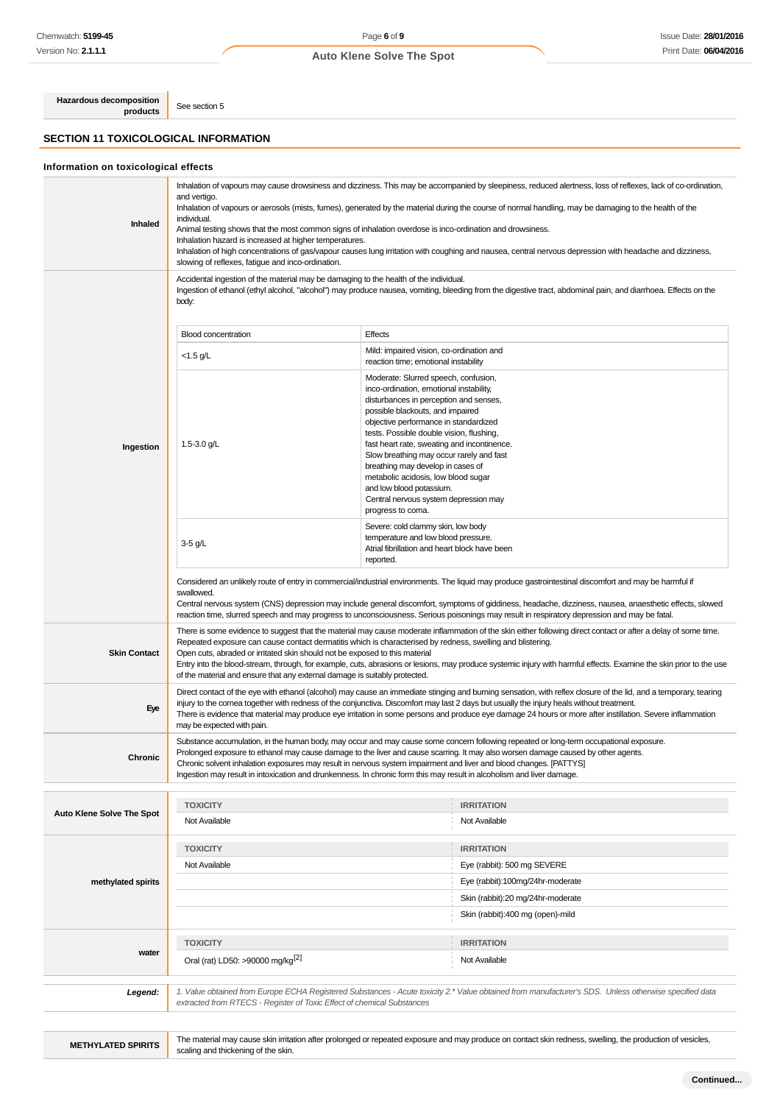# Page **6** of **9 Auto Klene Solve The Spot**

**Hazardous decomposition products** See section 5

#### **SECTION 11 TOXICOLOGICAL INFORMATION**

**Inhaled** Inhalation of vapours may cause drowsiness and dizziness. This may be accompanied by sleepiness, reduced alertness, loss of reflexes, lack of co-ordination, and vertigo. Inhalation of vapours or aerosols (mists, fumes), generated by the material during the course of normal handling, may be damaging to the health of the individual. Animal testing shows that the most common signs of inhalation overdose is inco-ordination and drowsiness. Inhalation hazard is increased at higher temperatures. Inhalation of high concentrations of gas/vapour causes lung irritation with coughing and nausea, central nervous depression with headache and dizziness, slowing of reflexes, fatigue and inco-ordination. **Ingestion** Accidental ingestion of the material may be damaging to the health of the individual. Ingestion of ethanol (ethyl alcohol, "alcohol") may produce nausea, vomiting, bleeding from the digestive tract, abdominal pain, and diarrhoea. Effects on the body: Blood concentration Effects <1.5 g/L Mild: impaired vision, co-ordination and reaction time; emotional instability 1.5-3.0 g/L Moderate: Slurred speech, confusion, inco-ordination, emotional instability, disturbances in perception and senses, possible blackouts, and impaired objective performance in standardized tests. Possible double vision, flushing, fast heart rate, sweating and incontinence. Slow breathing may occur rarely and fast breathing may develop in cases of metabolic acidosis, low blood sugar and low blood potassium. Central nervous system depression may progress to coma. 3-5 g/L Severe: cold clammy skin, low body temperature and low blood pressure. Atrial fibrillation and heart block have been reported. Considered an unlikely route of entry in commercial/industrial environments. The liquid may produce gastrointestinal discomfort and may be harmful if swallowed. Central nervous system (CNS) depression may include general discomfort, symptoms of giddiness, headache, dizziness, nausea, anaesthetic effects, slowed reaction time, slurred speech and may progress to unconsciousness. Serious poisonings may result in respiratory depression and may be fatal. **Skin Contact** There is some evidence to suggest that the material may cause moderate inflammation of the skin either following direct contact or after a delay of some time. Repeated exposure can cause contact dermatitis which is characterised by redness, swelling and blistering. Open cuts, abraded or irritated skin should not be exposed to this material Entry into the blood-stream, through, for example, cuts, abrasions or lesions, may produce systemic injury with harmful effects. Examine the skin prior to the use of the material and ensure that any external damage is suitably protected. **Eye** Direct contact of the eye with ethanol (alcohol) may cause an immediate stinging and burning sensation, with reflex closure of the lid, and a temporary, tearing injury to the cornea together with redness of the conjunctiva. Discomfort may last 2 days but usually the injury heals without treatment. There is evidence that material may produce eye irritation in some persons and produce eye damage 24 hours or more after instillation. Severe inflammation may be expected with pain. **Chronic** Substance accumulation, in the human body, may occur and may cause some concern following repeated or long-term occupational exposure. Prolonged exposure to ethanol may cause damage to the liver and cause scarring. It may also worsen damage caused by other agents. Chronic solvent inhalation exposures may result in nervous system impairment and liver and blood changes. [PATTYS] Ingestion may result in intoxication and drunkenness. In chronic form this may result in alcoholism and liver damage. **Auto Klene Solve The Spot TOXICITY IRRITATION** Not Available Not Available Not Available Not Available Not Available Not Available **methylated spirits TOXICITY IRRITATION** Not Available **Eye** (rabbit): 500 mg SEVERE Eye (rabbit):100mg/24hr-moderate Skin (rabbit):20 mg/24hr-moderate Skin (rabbit):400 mg (open)-mild **water TOXICITY IRRITATION** Oral (rat) LD50: >90000 mg/kg<sup>[2]</sup> Not Available **Legend:** 1. Value obtained from Europe ECHA Registered Substances - Acute toxicity 2.\* Value obtained from manufacturer's SDS. Unless otherwise specified data extracted from RTECS - Register of Toxic Effect of chemical Substances

**METHYLATED SPIRITS** The material may cause skin irritation after prolonged or repeated exposure and may produce on contact skin redness, swelling, the production of vesicles, scaling and thickening of the skin.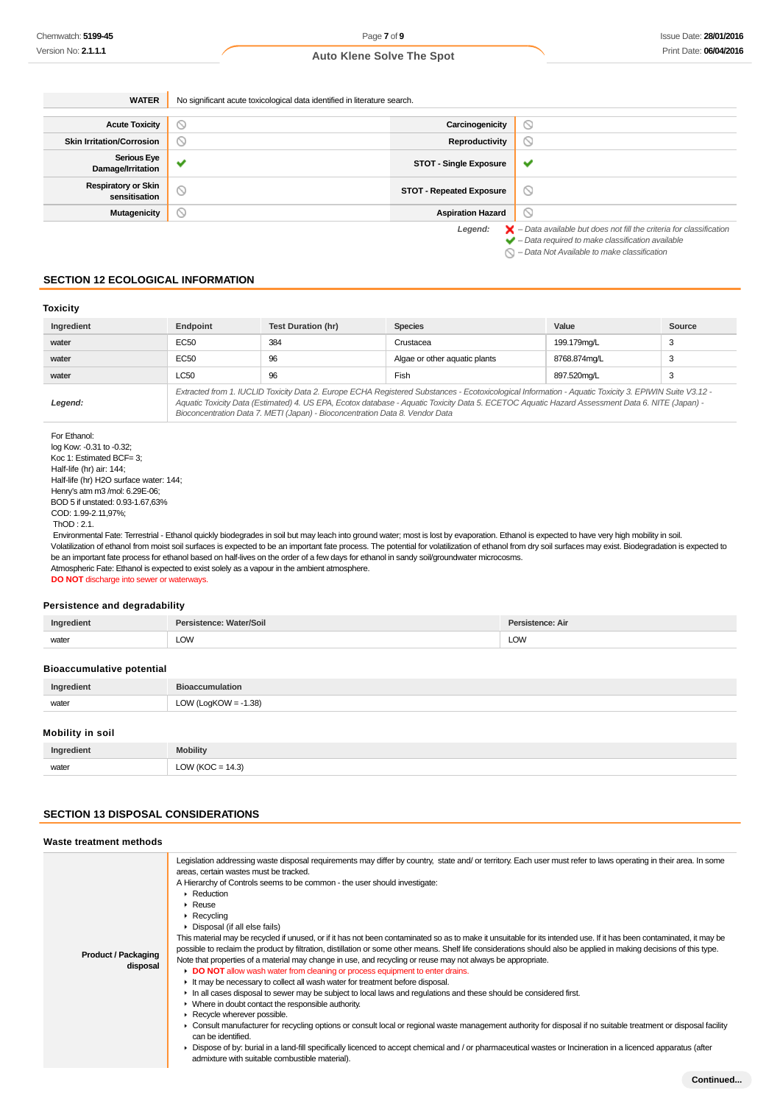| <b>WATER</b>                                | No significant acute toxicological data identified in literature search. |                                 |                                                                                                                                                                    |
|---------------------------------------------|--------------------------------------------------------------------------|---------------------------------|--------------------------------------------------------------------------------------------------------------------------------------------------------------------|
|                                             |                                                                          |                                 |                                                                                                                                                                    |
| <b>Acute Toxicity</b>                       | N                                                                        | Carcinogenicity                 | $\circ$                                                                                                                                                            |
| <b>Skin Irritation/Corrosion</b>            | D                                                                        | Reproductivity                  | Ø                                                                                                                                                                  |
| <b>Serious Eye</b><br>Damage/Irritation     | $\sim$                                                                   | <b>STOT - Single Exposure</b>   | $\checkmark$                                                                                                                                                       |
| <b>Respiratory or Skin</b><br>sensitisation | Q                                                                        | <b>STOT - Repeated Exposure</b> | $\circ$                                                                                                                                                            |
| <b>Mutagenicity</b>                         | $\circ$                                                                  | <b>Aspiration Hazard</b>        | $\circ$                                                                                                                                                            |
|                                             |                                                                          | Legend:                         | $\blacktriangleright$ - Data available but does not fill the criteria for classification<br>$\blacktriangleright$ - Data required to make classification available |

 $\bigcirc$  – Data Not Available to make classification

# **SECTION 12 ECOLOGICAL INFORMATION**

# **Toxicity**

| Ingredient | Endpoint                                                                                                                                                                                                                                                                                                                                                                                 | <b>Test Duration (hr)</b> | <b>Species</b>                | Value        | Source |
|------------|------------------------------------------------------------------------------------------------------------------------------------------------------------------------------------------------------------------------------------------------------------------------------------------------------------------------------------------------------------------------------------------|---------------------------|-------------------------------|--------------|--------|
| water      | EC <sub>50</sub>                                                                                                                                                                                                                                                                                                                                                                         | 384                       | Crustacea                     | 199.179mg/L  | 3      |
| water      | <b>EC50</b>                                                                                                                                                                                                                                                                                                                                                                              | 96                        | Algae or other aquatic plants | 8768.874mg/L | 3      |
| water      | <b>LC50</b>                                                                                                                                                                                                                                                                                                                                                                              | 96                        | Fish                          | 897.520mg/L  | 3      |
| Legend:    | Extracted from 1. IUCLID Toxicity Data 2. Europe ECHA Registered Substances - Ecotoxicological Information - Aguatic Toxicity 3. EPIWIN Suite V3.12 -<br>Aquatic Toxicity Data (Estimated) 4. US EPA, Ecotox database - Aquatic Toxicity Data 5. ECETOC Aquatic Hazard Assessment Data 6. NITE (Japan) -<br>Bioconcentration Data 7. METI (Japan) - Bioconcentration Data 8. Vendor Data |                           |                               |              |        |

log Kow: -0.31 to -0.32; Koc 1: Estimated BCF= 3; Half-life (hr) air: 144; Half-life (hr) H2O surface water: 144; Henry's atm m3 /mol: 6.29E-06; BOD 5 if unstated: 0.93-1.67,63% COD: 1.99-2.11,97%; ThOD : 2.1.

 Environmental Fate: Terrestrial - Ethanol quickly biodegrades in soil but may leach into ground water; most is lost by evaporation. Ethanol is expected to have very high mobility in soil. Volatilization of ethanol from moist soil surfaces is expected to be an important fate process. The potential for volatilization of ethanol from dry soil surfaces may exist. Biodegradation is expected to be an important fate process for ethanol based on half-lives on the order of a few days for ethanol in sandy soil/groundwater microcosms. Atmospheric Fate: Ethanol is expected to exist solely as a vapour in the ambient atmosphere. **DO NOT** discharge into sewer or waterways.

#### **Persistence and degradability**

| Ingredient                       | Persistence: Water/Soil | Persistence: Air |
|----------------------------------|-------------------------|------------------|
| water                            | LOW                     | <b>LOW</b>       |
| <b>Bioaccumulative potential</b> |                         |                  |
| Ingredient                       | <b>Bioaccumulation</b>  |                  |
| water                            | LOW (LogKOW = $-1.38$ ) |                  |

#### **Mobility in soil**

| Ingredient | <b>Mobility</b>     |
|------------|---------------------|
| water      | LOW (KOC = $14.3$ ) |

# **SECTION 13 DISPOSAL CONSIDERATIONS**

# **Waste treatment methods**

| <b>Product / Packaging</b><br>disposal | Legislation addressing waste disposal requirements may differ by country, state and/ or territory. Each user must refer to laws operating in their area. In some<br>areas, certain wastes must be tracked.<br>A Hierarchy of Controls seems to be common - the user should investigate:<br>$\blacktriangleright$ Reduction<br>$\triangleright$ Reuse<br>$\triangleright$ Recycling<br>• Disposal (if all else fails)<br>This material may be recycled if unused, or if it has not been contaminated so as to make it unsuitable for its intended use. If it has been contaminated, it may be<br>possible to reclaim the product by filtration, distillation or some other means. Shelf life considerations should also be applied in making decisions of this type.<br>Note that properties of a material may change in use, and recycling or reuse may not always be appropriate.<br>• DO NOT allow wash water from cleaning or process equipment to enter drains.<br>It may be necessary to collect all wash water for treatment before disposal.<br>In all cases disposal to sewer may be subject to local laws and regulations and these should be considered first.<br>• Where in doubt contact the responsible authority.<br>Recycle wherever possible.<br>• Consult manufacturer for recycling options or consult local or regional waste management authority for disposal if no suitable treatment or disposal facility<br>can be identified.<br>• Dispose of by: burial in a land-fill specifically licenced to accept chemical and / or pharmaceutical wastes or Incineration in a licenced apparatus (after<br>admixture with suitable combustible material). |
|----------------------------------------|---------------------------------------------------------------------------------------------------------------------------------------------------------------------------------------------------------------------------------------------------------------------------------------------------------------------------------------------------------------------------------------------------------------------------------------------------------------------------------------------------------------------------------------------------------------------------------------------------------------------------------------------------------------------------------------------------------------------------------------------------------------------------------------------------------------------------------------------------------------------------------------------------------------------------------------------------------------------------------------------------------------------------------------------------------------------------------------------------------------------------------------------------------------------------------------------------------------------------------------------------------------------------------------------------------------------------------------------------------------------------------------------------------------------------------------------------------------------------------------------------------------------------------------------------------------------------------------------------------------------------------------------------------------------------|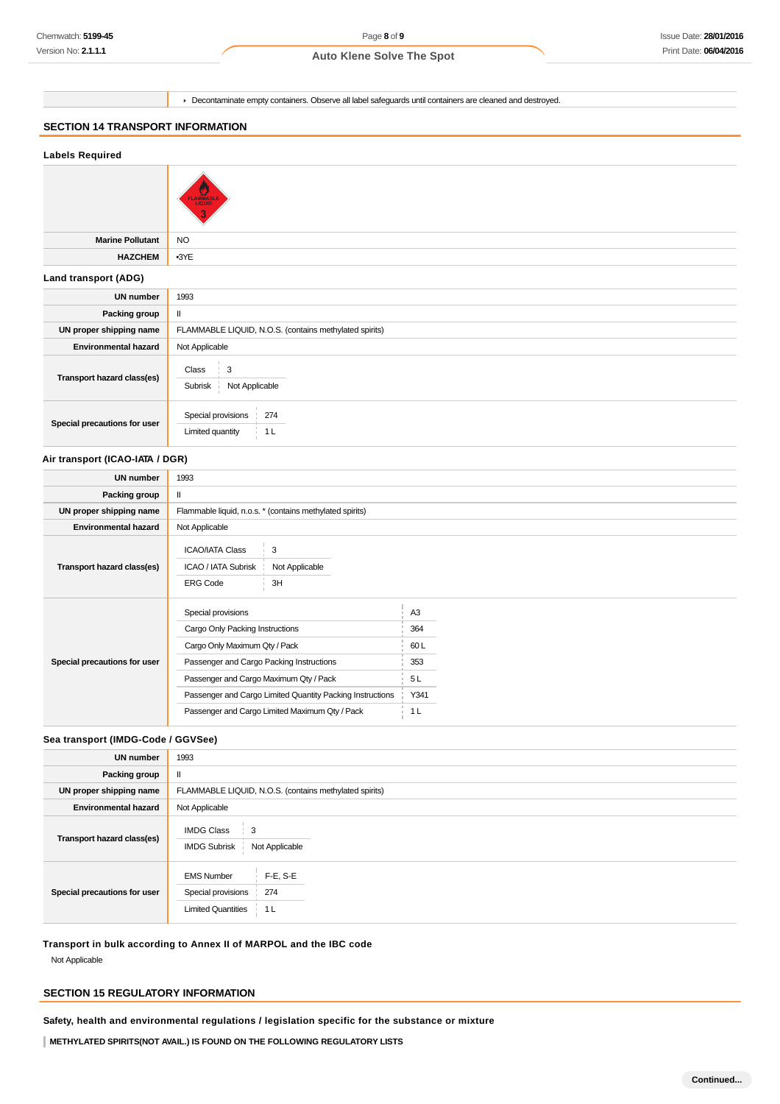Page **8** of **9**

#### **Auto Klene Solve The Spot**

Decontaminate empty containers. Observe all label safeguards until containers are cleaned and destroyed.

# **SECTION 14 TRANSPORT INFORMATION**

# **Labels Required Marine Pollutant** NO **HAZCHEM** •3YE **Land transport (ADG) UN number** 1993 **Packing group** | II **UN proper shipping name** FLAMMABLE LIQUID, N.O.S. (contains methylated spirits) **Environmental hazard** Not Applicable **Transport hazard class(es)**  $Class \begin{array}{c} \perp \\ 3 \end{array}$ Subrisk Not Applicable **Special precautions for user** Special provisions 274 Limited quantity 1L

#### **Air transport (ICAO-IATA / DGR)**

| UN number                    | 1993                                                                                                                                                                                                                                                                                        |                                                                      |
|------------------------------|---------------------------------------------------------------------------------------------------------------------------------------------------------------------------------------------------------------------------------------------------------------------------------------------|----------------------------------------------------------------------|
| Packing group                | Ш                                                                                                                                                                                                                                                                                           |                                                                      |
| UN proper shipping name      | Flammable liquid, n.o.s. * (contains methylated spirits)                                                                                                                                                                                                                                    |                                                                      |
| <b>Environmental hazard</b>  | Not Applicable                                                                                                                                                                                                                                                                              |                                                                      |
| Transport hazard class(es)   | <b>ICAO/IATA Class</b><br>3<br>ICAO / IATA Subrisk<br>Not Applicable<br><b>ERG Code</b><br>3H                                                                                                                                                                                               |                                                                      |
| Special precautions for user | Special provisions<br>Cargo Only Packing Instructions<br>Cargo Only Maximum Qty / Pack<br>Passenger and Cargo Packing Instructions<br>Passenger and Cargo Maximum Qty / Pack<br>Passenger and Cargo Limited Quantity Packing Instructions<br>Passenger and Cargo Limited Maximum Qty / Pack | A <sub>3</sub><br>364<br>60L<br>353<br>5 L<br>Y341<br>1 <sub>L</sub> |

# **Sea transport (IMDG-Code / GGVSee)**

| <b>UN number</b>             | 1993                                                                                             |  |
|------------------------------|--------------------------------------------------------------------------------------------------|--|
| Packing group                | $\mathbf{H}$                                                                                     |  |
| UN proper shipping name      | FLAMMABLE LIQUID, N.O.S. (contains methylated spirits)                                           |  |
| <b>Environmental hazard</b>  | Not Applicable                                                                                   |  |
| Transport hazard class(es)   | <b>IMDG Class</b><br>3<br><b>IMDG Subrisk</b><br>Not Applicable                                  |  |
| Special precautions for user | $F-E, S-E$<br><b>EMS Number</b><br>274<br>Special provisions<br><b>Limited Quantities</b><br>1 L |  |

**Transport in bulk according to Annex II of MARPOL and the IBC code**

Not Applicable

# **SECTION 15 REGULATORY INFORMATION**

**Safety, health and environmental regulations / legislation specific for the substance or mixture**

**METHYLATED SPIRITS(NOT AVAIL.) IS FOUND ON THE FOLLOWING REGULATORY LISTS**